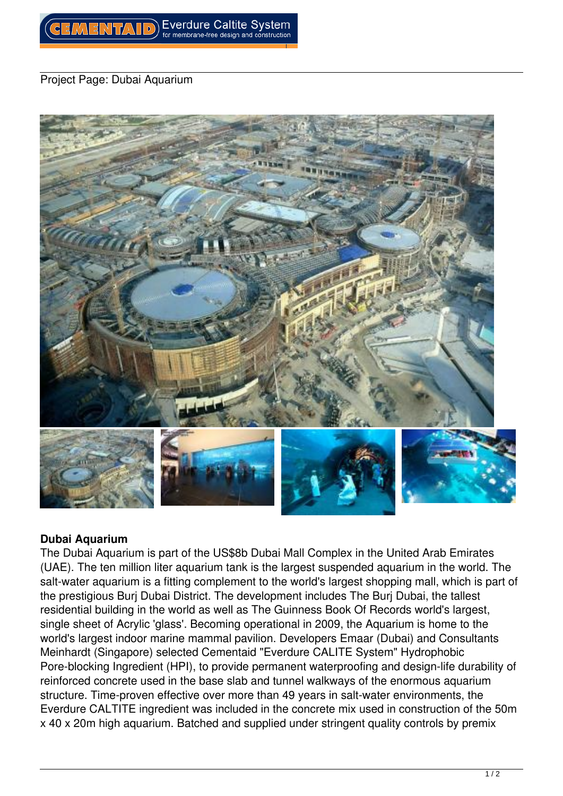## *Project Page: Dubai Aquarium*



## **Dubai Aquarium**

*The Dubai Aquarium is part of the US\$8b Dubai Mall Complex in the United Arab Emirates (UAE). The ten million liter aquarium tank is the largest suspended aquarium in the world. The salt-water aquarium is a fitting complement to the world's largest shopping mall, which is part of the prestigious Burj Dubai District. The development includes The Burj Dubai, the tallest residential building in the world as well as The Guinness Book Of Records world's largest, single sheet of Acrylic 'glass'. Becoming operational in 2009, the Aquarium is home to the world's largest indoor marine mammal pavilion. Developers Emaar (Dubai) and Consultants Meinhardt (Singapore) selected Cementaid "Everdure CALITE System" Hydrophobic Pore-blocking Ingredient (HPI), to provide permanent waterproofing and design-life durability of reinforced concrete used in the base slab and tunnel walkways of the enormous aquarium structure. Time-proven effective over more than 49 years in salt-water environments, the Everdure CALTITE ingredient was included in the concrete mix used in construction of the 50m x 40 x 20m high aquarium. Batched and supplied under stringent quality controls by premix*